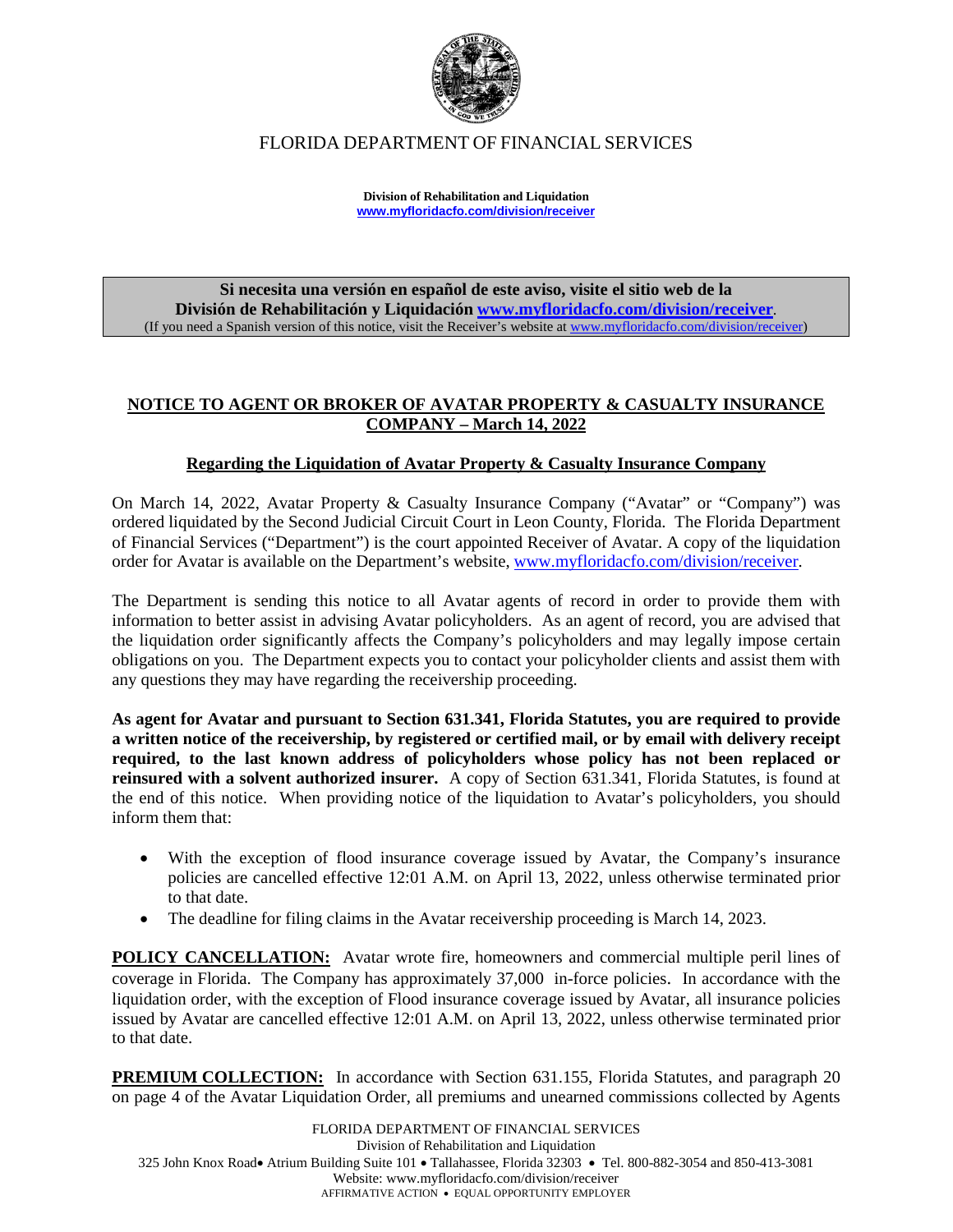

FLORIDA DEPARTMENT OF FINANCIAL SERVICES

**Division of Rehabilitation and Liquidation [www.myfloridacfo.com/division/receiver](http://www.myfloridacfo.com/division/receiver)**

**Si necesita una versión en español de este aviso, visite el sitio web de la División de Rehabilitación y Liquidación [www.myfloridacfo.com/division/receiver](http://www.myfloridacfo.com/division/receiver)**. (If you need a Spanish version of this notice, visit the Receiver's website a[t www.myfloridacfo.com/division/receiver\)](http://www.myfloridacfo.com/division/receiver)

### **NOTICE TO AGENT OR BROKER OF AVATAR PROPERTY & CASUALTY INSURANCE COMPANY – March 14, 2022**

## **Regarding the Liquidation of Avatar Property & Casualty Insurance Company**

On March 14, 2022, Avatar Property & Casualty Insurance Company ("Avatar" or "Company") was ordered liquidated by the Second Judicial Circuit Court in Leon County, Florida. The Florida Department of Financial Services ("Department") is the court appointed Receiver of Avatar. A copy of the liquidation order for Avatar is available on the Department's website, [www.myfloridacfo.com/division/receiver.](http://www.myfloridacfo.com/division/receiver)

The Department is sending this notice to all Avatar agents of record in order to provide them with information to better assist in advising Avatar policyholders. As an agent of record, you are advised that the liquidation order significantly affects the Company's policyholders and may legally impose certain obligations on you. The Department expects you to contact your policyholder clients and assist them with any questions they may have regarding the receivership proceeding.

**As agent for Avatar and pursuant to Section 631.341, Florida Statutes, you are required to provide a written notice of the receivership, by registered or certified mail, or by email with delivery receipt required, to the last known address of policyholders whose policy has not been replaced or reinsured with a solvent authorized insurer.** A copy of Section 631.341, Florida Statutes, is found at the end of this notice. When providing notice of the liquidation to Avatar's policyholders, you should inform them that:

- With the exception of flood insurance coverage issued by Avatar, the Company's insurance policies are cancelled effective 12:01 A.M. on April 13, 2022, unless otherwise terminated prior to that date.
- The deadline for filing claims in the Avatar receivership proceeding is March 14, 2023.

**POLICY CANCELLATION:** Avatar wrote fire, homeowners and commercial multiple peril lines of coverage in Florida. The Company has approximately 37,000 in-force policies. In accordance with the liquidation order, with the exception of Flood insurance coverage issued by Avatar, all insurance policies issued by Avatar are cancelled effective 12:01 A.M. on April 13, 2022, unless otherwise terminated prior to that date.

**PREMIUM COLLECTION:** In accordance with Section 631.155, Florida Statutes, and paragraph 20 on page 4 of the Avatar Liquidation Order, all premiums and unearned commissions collected by Agents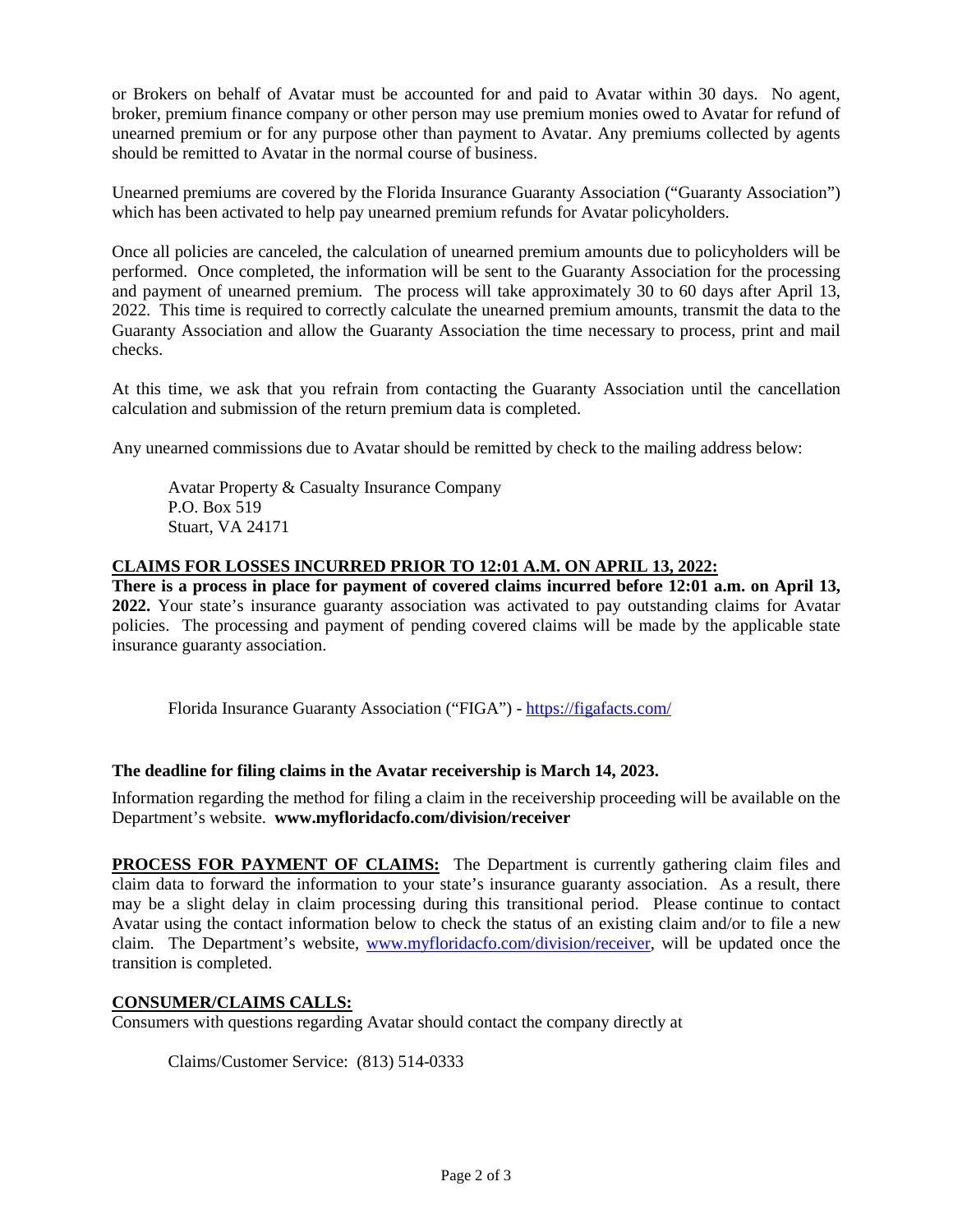or Brokers on behalf of Avatar must be accounted for and paid to Avatar within 30 days. No agent, broker, premium finance company or other person may use premium monies owed to Avatar for refund of unearned premium or for any purpose other than payment to Avatar. Any premiums collected by agents should be remitted to Avatar in the normal course of business.

Unearned premiums are covered by the Florida Insurance Guaranty Association ("Guaranty Association") which has been activated to help pay unearned premium refunds for Avatar policyholders.

Once all policies are canceled, the calculation of unearned premium amounts due to policyholders will be performed. Once completed, the information will be sent to the Guaranty Association for the processing and payment of unearned premium. The process will take approximately 30 to 60 days after April 13, 2022. This time is required to correctly calculate the unearned premium amounts, transmit the data to the Guaranty Association and allow the Guaranty Association the time necessary to process, print and mail checks.

At this time, we ask that you refrain from contacting the Guaranty Association until the cancellation calculation and submission of the return premium data is completed.

Any unearned commissions due to Avatar should be remitted by check to the mailing address below:

Avatar Property & Casualty Insurance Company P.O. Box 519 Stuart, VA 24171

### **CLAIMS FOR LOSSES INCURRED PRIOR TO 12:01 A.M. ON APRIL 13, 2022:**

**There is a process in place for payment of covered claims incurred before 12:01 a.m. on April 13, 2022.** Your state's insurance guaranty association was activated to pay outstanding claims for Avatar policies.The processing and payment of pending covered claims will be made by the applicable state insurance guaranty association.

Florida Insurance Guaranty Association ("FIGA") - <https://figafacts.com/>

#### **The deadline for filing claims in the Avatar receivership is March 14, 2023.**

Information regarding the method for filing a claim in the receivership proceeding will be available on the Department's website. **www.myfloridacfo.com/division/receiver**

**PROCESS FOR PAYMENT OF CLAIMS:** The Department is currently gathering claim files and claim data to forward the information to your state's insurance guaranty association. As a result, there may be a slight delay in claim processing during this transitional period. Please continue to contact Avatar using the contact information below to check the status of an existing claim and/or to file a new claim. The Department's website, [www.myfloridacfo.com/division/receiver,](http://www.myfloridacfo.com/division/receiver) will be updated once the transition is completed.

#### **CONSUMER/CLAIMS CALLS:**

Consumers with questions regarding Avatar should contact the company directly at

Claims/Customer Service: (813) 514-0333